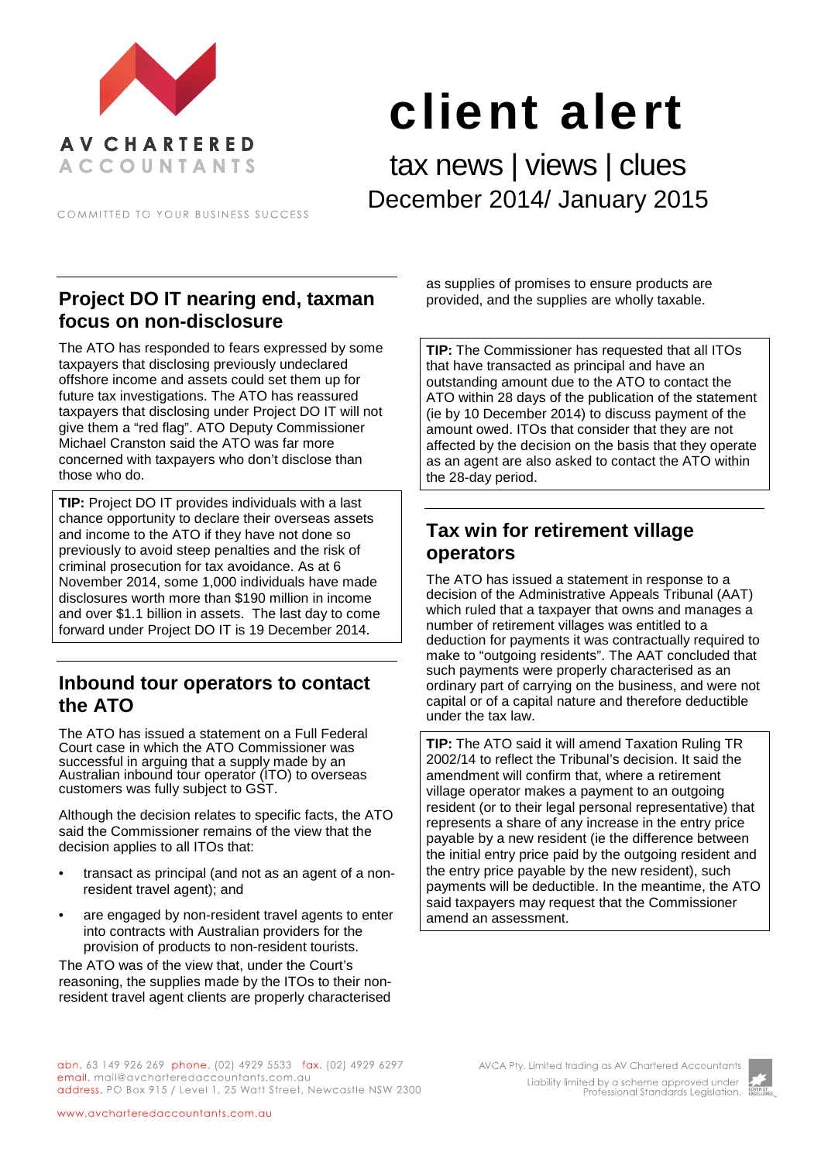

# client alert

tax news | views | clues December 2014/ January 2015

COMMITTED TO YOUR BUSINESS SUCCESS

## **Project DO IT nearing end, taxman focus on non-disclosure**

The ATO has responded to fears expressed by some taxpayers that disclosing previously undeclared offshore income and assets could set them up for future tax investigations. The ATO has reassured taxpayers that disclosing under Project DO IT will not give them a "red flag". ATO Deputy Commissioner Michael Cranston said the ATO was far more concerned with taxpayers who don't disclose than those who do.

**TIP:** Project DO IT provides individuals with a last chance opportunity to declare their overseas assets and income to the ATO if they have not done so previously to avoid steep penalties and the risk of criminal prosecution for tax avoidance. As at 6 November 2014, some 1,000 individuals have made disclosures worth more than \$190 million in income and over \$1.1 billion in assets. The last day to come forward under Project DO IT is 19 December 2014.

#### **Inbound tour operators to contact the ATO**

The ATO has issued a statement on a Full Federal Court case in which the ATO Commissioner was successful in arguing that a supply made by an Australian inbound tour operator (ITO) to overseas customers was fully subject to GST.

Although the decision relates to specific facts, the ATO said the Commissioner remains of the view that the decision applies to all ITOs that:

- transact as principal (and not as an agent of a nonresident travel agent); and
- are engaged by non-resident travel agents to enter into contracts with Australian providers for the provision of products to non-resident tourists.

The ATO was of the view that, under the Court's reasoning, the supplies made by the ITOs to their nonresident travel agent clients are properly characterised

as supplies of promises to ensure products are provided, and the supplies are wholly taxable.

**TIP:** The Commissioner has requested that all ITOs that have transacted as principal and have an outstanding amount due to the ATO to contact the ATO within 28 days of the publication of the statement (ie by 10 December 2014) to discuss payment of the amount owed. ITOs that consider that they are not affected by the decision on the basis that they operate as an agent are also asked to contact the ATO within the 28-day period.

## **Tax win for retirement village operators**

The ATO has issued a statement in response to a decision of the Administrative Appeals Tribunal (AAT) which ruled that a taxpayer that owns and manages a number of retirement villages was entitled to a deduction for payments it was contractually required to make to "outgoing residents". The AAT concluded that such payments were properly characterised as an ordinary part of carrying on the business, and were not capital or of a capital nature and therefore deductible under the tax law.

**TIP:** The ATO said it will amend Taxation Ruling TR 2002/14 to reflect the Tribunal's decision. It said the amendment will confirm that, where a retirement village operator makes a payment to an outgoing resident (or to their legal personal representative) that represents a share of any increase in the entry price payable by a new resident (ie the difference between the initial entry price paid by the outgoing resident and the entry price payable by the new resident), such payments will be deductible. In the meantime, the ATO said taxpayers may request that the Commissioner amend an assessment.